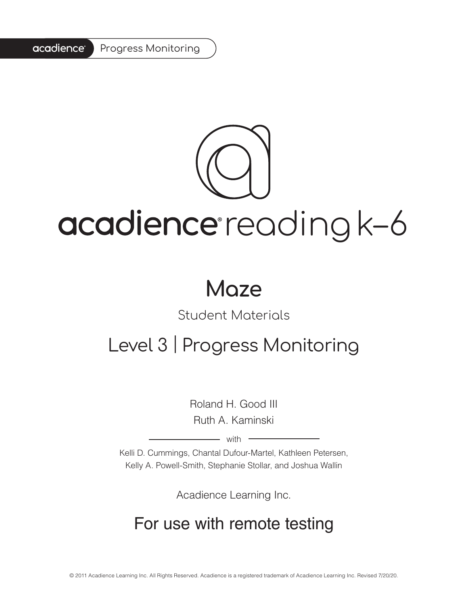#### acadience® Progress Monitoring

# acadience reading k-6

## **Maze**

### Student Materials

### Level 3 | Progress Monitoring

Roland H. Good III Ruth A. Kaminski

with

Kelli D. Cummings, Chantal Dufour-Martel, Kathleen Petersen, Kelly A. Powell-Smith, Stephanie Stollar, and Joshua Wallin

Acadience Learning Inc.

### For use with remote testing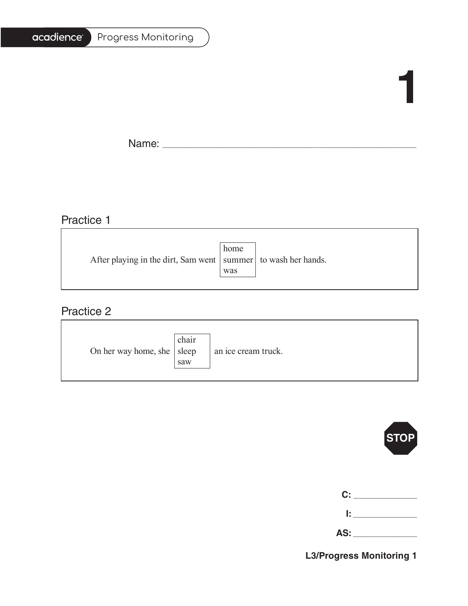| Progress Monitoring |
|---------------------|
|                     |

# **1**

Ē.

Name: \_\_\_\_\_\_\_\_\_\_\_\_\_\_\_\_\_\_\_\_\_\_\_\_\_\_\_\_\_\_\_\_\_\_\_\_\_\_\_\_\_\_\_\_\_\_\_\_\_\_\_\_\_\_\_\_\_\_\_\_\_\_\_\_\_\_\_\_\_\_\_\_\_\_\_\_\_\_\_\_\_\_\_\_\_\_\_\_\_\_\_\_\_\_\_\_\_\_\_\_\_\_\_

### Practice 1

|                                                                   | home |  |
|-------------------------------------------------------------------|------|--|
| After playing in the dirt, Sam went   summer   to wash her hands. |      |  |
|                                                                   | was  |  |
|                                                                   |      |  |

<u> 1989 - Johann Barn, mars ann an t-Amhain Aonaich an t-Aonaich an t-Aonaich ann an t-Aonaich ann an t-Aonaich</u>

#### Practice 2

| On her way home, she $ $ sleep | chair<br>saw | an ice cream truck. |
|--------------------------------|--------------|---------------------|
|--------------------------------|--------------|---------------------|



|    | C: C<br><b>Contractor</b> |
|----|---------------------------|
| Ŀ. |                           |

| - -<br><u>гч</u><br>$\sim$ |  |
|----------------------------|--|
|----------------------------|--|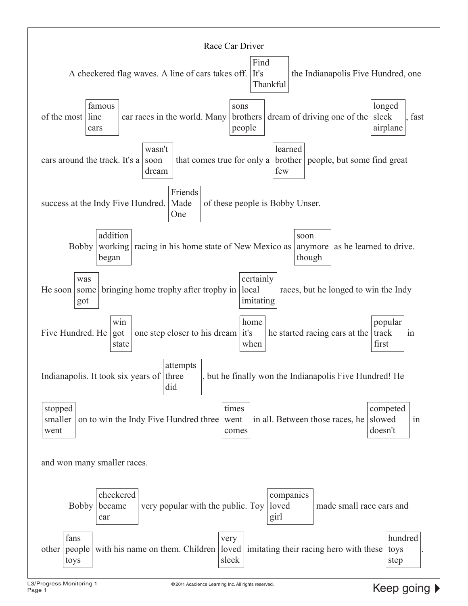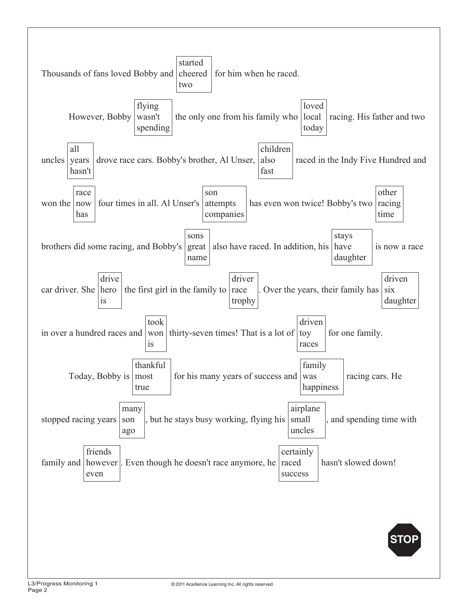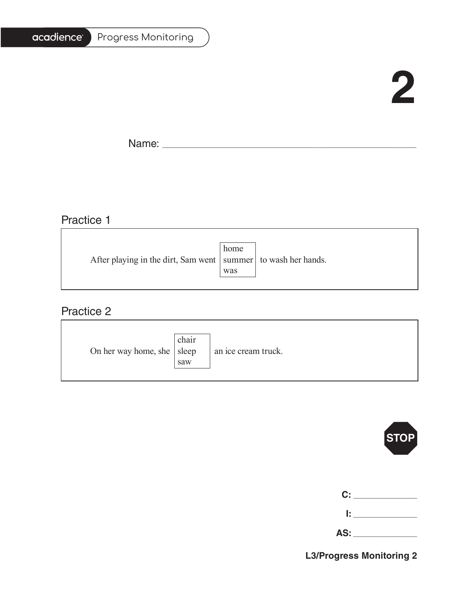| Progress Monitoring |
|---------------------|
|                     |

# **2**

Ē.

Name: \_\_\_\_\_\_\_\_\_\_\_\_\_\_\_\_\_\_\_\_\_\_\_\_\_\_\_\_\_\_\_\_\_\_\_\_\_\_\_\_\_\_\_\_\_\_\_\_\_\_\_\_\_\_\_\_\_\_\_\_\_\_\_\_\_\_\_\_\_\_\_\_\_\_\_\_\_\_\_\_\_\_\_\_\_\_\_\_\_\_\_\_\_\_\_\_\_\_\_\_\_\_\_

### Practice 1

|                                                                   | home |  |
|-------------------------------------------------------------------|------|--|
| After playing in the dirt, Sam went   summer   to wash her hands. |      |  |
|                                                                   | was  |  |
|                                                                   |      |  |

<u> 1989 - Johann Barn, mars ann an t-Amhain Aonaich an t-Aonaich an t-Aonaich ann an t-Aonaich ann an t-Aonaich</u>

#### Practice 2

| On her way home, she $ $ sleep | chair<br>saw | an ice cream truck. |
|--------------------------------|--------------|---------------------|
|--------------------------------|--------------|---------------------|

![](_page_4_Picture_8.jpeg)

| C:  |  |
|-----|--|
| Ŀ   |  |
| AS: |  |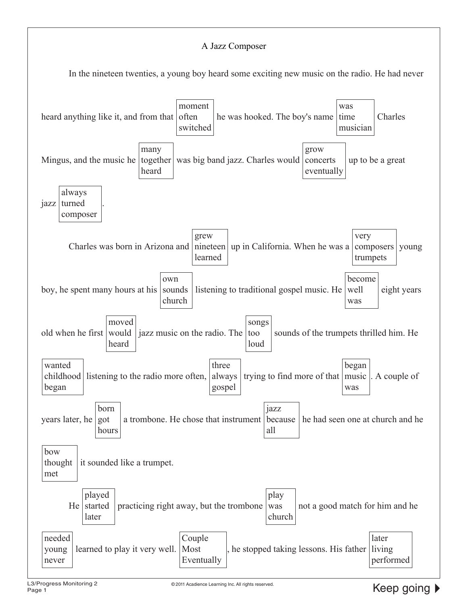#### A Jazz Composer

In the nineteen twenties, a young boy heard some exciting new music on the radio. He had never

![](_page_5_Figure_2.jpeg)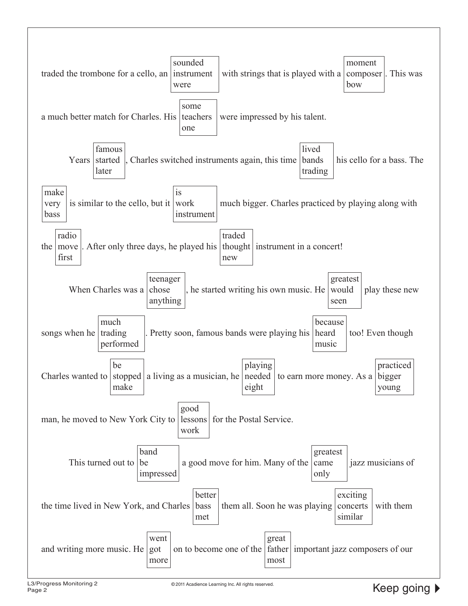![](_page_6_Figure_0.jpeg)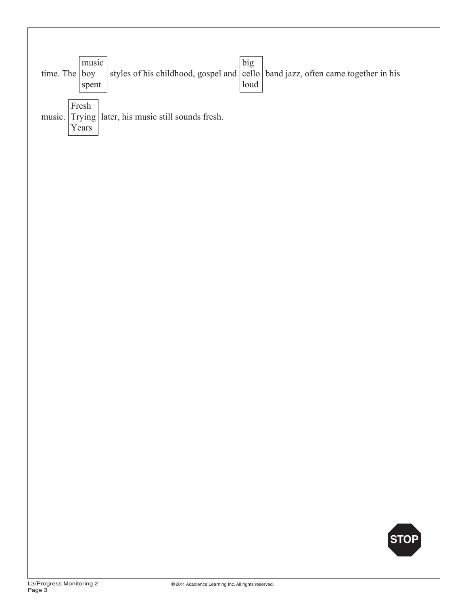| music<br>$\vert$ boy<br>time. The<br>spent                                 | big<br>styles of his childhood, gospel and $ $ cello $ $ band jazz, often came together in his<br>loud |
|----------------------------------------------------------------------------|--------------------------------------------------------------------------------------------------------|
| Fresh<br>later, his music still sounds fresh.<br>Trying<br>music.<br>Years |                                                                                                        |
|                                                                            |                                                                                                        |
|                                                                            |                                                                                                        |
|                                                                            |                                                                                                        |
|                                                                            |                                                                                                        |
|                                                                            |                                                                                                        |
|                                                                            |                                                                                                        |
|                                                                            |                                                                                                        |
|                                                                            | STOP                                                                                                   |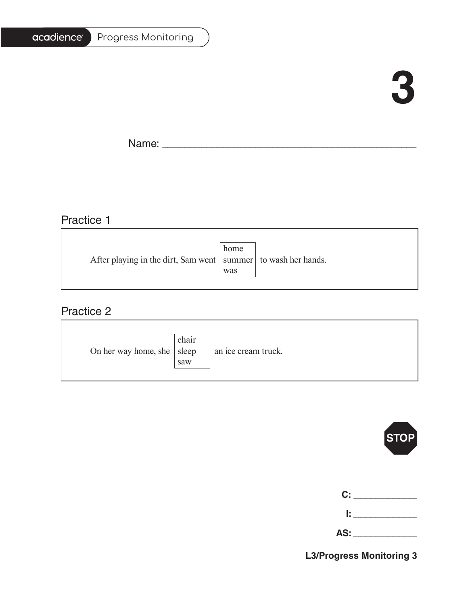| <b>Progress Monitoring</b> |
|----------------------------|
|                            |

# **3**

F.

Name: \_\_\_\_\_\_\_\_\_\_\_\_\_\_\_\_\_\_\_\_\_\_\_\_\_\_\_\_\_\_\_\_\_\_\_\_\_\_\_\_\_\_\_\_\_\_\_\_\_\_\_\_\_\_\_\_\_\_\_\_\_\_\_\_\_\_\_\_\_\_\_\_\_\_\_\_\_\_\_\_\_\_\_\_\_\_\_\_\_\_\_\_\_\_\_\_\_\_\_\_\_\_\_

#### Practice 1

|                                                                   | home |  |
|-------------------------------------------------------------------|------|--|
| After playing in the dirt, Sam went   summer   to wash her hands. |      |  |
|                                                                   | was  |  |
|                                                                   |      |  |

<u> 1989 - Johann Barn, mars ann an t-Amhain Aonaich an t-Aonaich an t-Aonaich ann an t-Aonaich ann an t-Aonaich</u>

#### Practice 2

| On her way home, she $ $ sleep | chair<br>saw | an ice cream truck. |
|--------------------------------|--------------|---------------------|
|--------------------------------|--------------|---------------------|

![](_page_8_Picture_8.jpeg)

| C: I |  |
|------|--|
| Ŀ.   |  |

| $\overline{\mathsf{AS:}}$ |  |
|---------------------------|--|
|                           |  |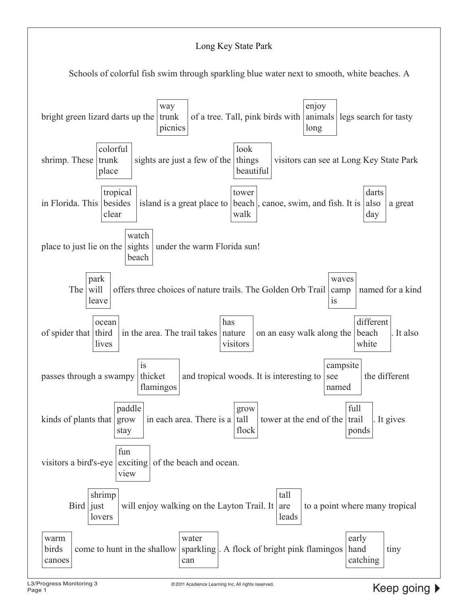![](_page_9_Figure_0.jpeg)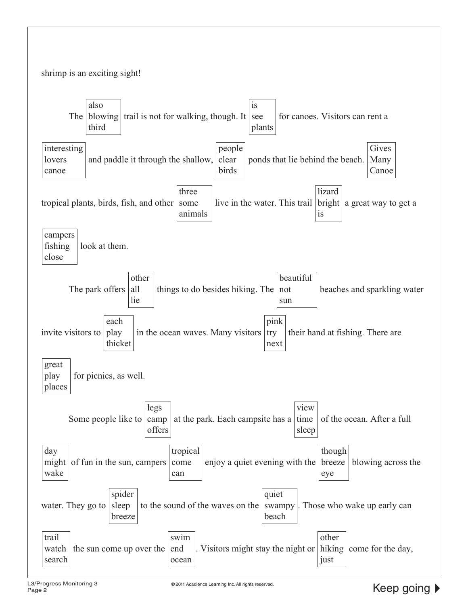![](_page_10_Figure_0.jpeg)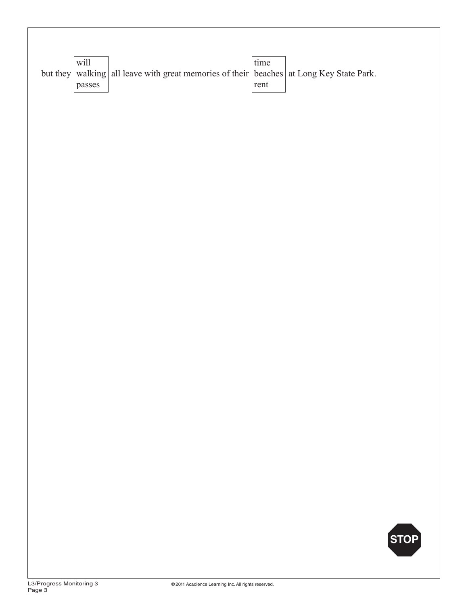| will   |                                                                                         | time |  |
|--------|-----------------------------------------------------------------------------------------|------|--|
|        | but they walking all leave with great memories of their beaches at Long Key State Park. |      |  |
| passes |                                                                                         | rent |  |

![](_page_11_Picture_1.jpeg)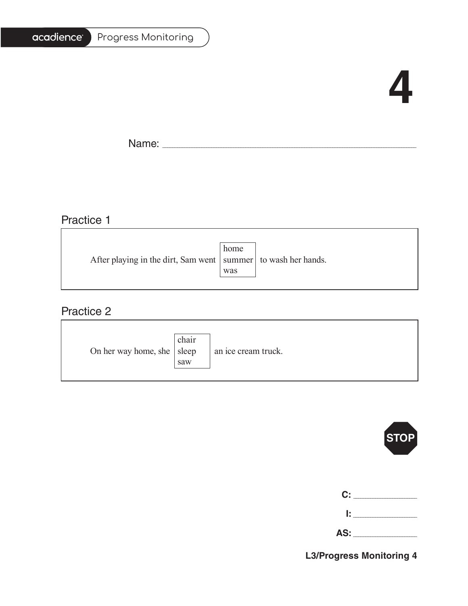| Progress Monitoring |  |
|---------------------|--|
|---------------------|--|

# **4**

Ē.

Name: \_\_\_\_\_\_\_\_\_\_\_\_\_\_\_\_\_\_\_\_\_\_\_\_\_\_\_\_\_\_\_\_\_\_\_\_\_\_\_\_\_\_\_\_\_\_\_\_\_\_\_\_\_\_\_\_\_\_\_\_\_\_\_\_\_\_\_\_\_\_\_\_\_\_\_\_\_\_\_\_\_\_\_\_\_\_\_\_\_\_\_\_\_\_\_\_\_\_\_\_\_\_\_

### Practice 1

|                                                                   | home |  |
|-------------------------------------------------------------------|------|--|
| After playing in the dirt, Sam went   summer   to wash her hands. |      |  |
|                                                                   | was  |  |
|                                                                   |      |  |

#### Practice 2

| On her way home, she $ $ sleep | chair<br>saw | an ice cream truck. |
|--------------------------------|--------------|---------------------|
|--------------------------------|--------------|---------------------|

![](_page_12_Picture_8.jpeg)

| C:    |  |
|-------|--|
| r     |  |
| AS: _ |  |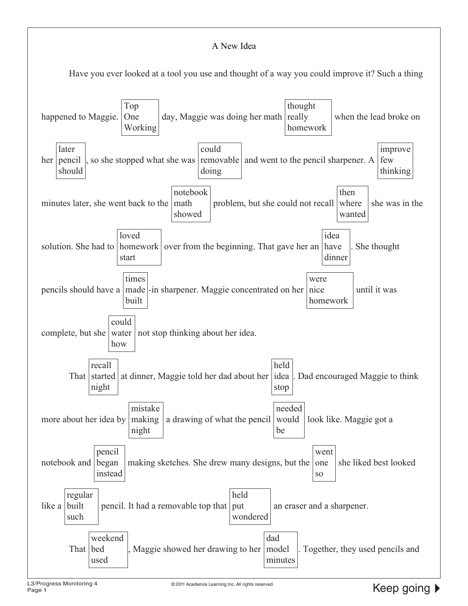#### A New Idea

Have you ever looked at a tool you use and thought of a way you could improve it? Such a thing

![](_page_13_Figure_2.jpeg)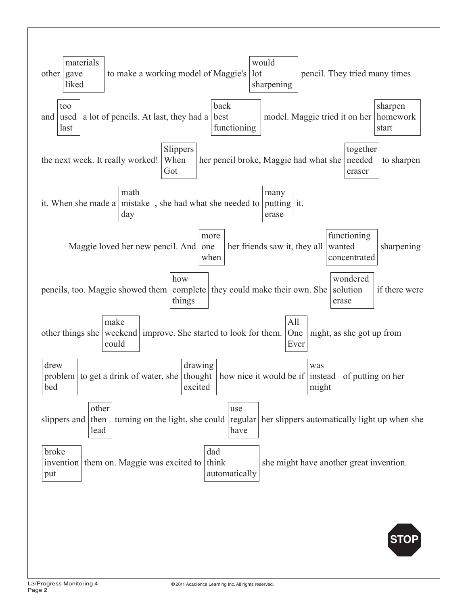![](_page_14_Figure_0.jpeg)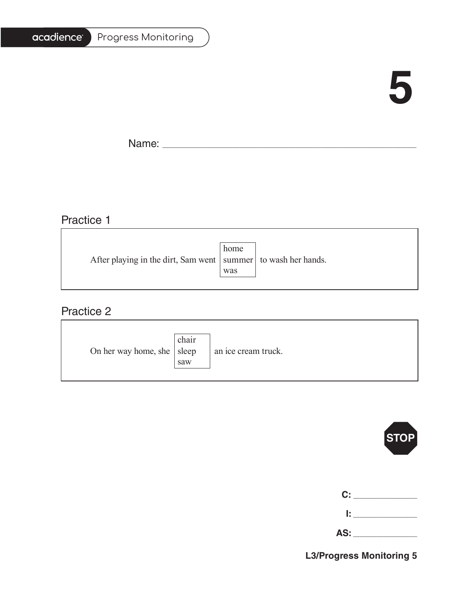| <b>Progress Monitoring</b> |
|----------------------------|
|                            |

# **5**

Ē.

Name: \_\_\_\_\_\_\_\_\_\_\_\_\_\_\_\_\_\_\_\_\_\_\_\_\_\_\_\_\_\_\_\_\_\_\_\_\_\_\_\_\_\_\_\_\_\_\_\_\_\_\_\_\_\_\_\_\_\_\_\_\_\_\_\_\_\_\_\_\_\_\_\_\_\_\_\_\_\_\_\_\_\_\_\_\_\_\_\_\_\_\_\_\_\_\_\_\_\_\_\_\_\_\_

### Practice 1

|                                                                   | home |  |
|-------------------------------------------------------------------|------|--|
| After playing in the dirt, Sam went   summer   to wash her hands. |      |  |
|                                                                   | was  |  |
|                                                                   |      |  |

#### Practice 2

| On her way home, she $ $ sleep | chair<br>saw | an ice cream truck. |
|--------------------------------|--------------|---------------------|
|--------------------------------|--------------|---------------------|

![](_page_15_Picture_8.jpeg)

|   | C: _______              |
|---|-------------------------|
| r |                         |
|   | AS: Andrew Section 1997 |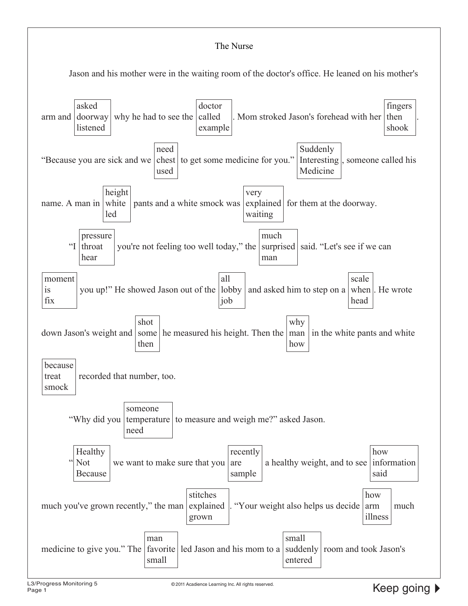#### The Nurse

Jason and his mother were in the waiting room of the doctor's office. He leaned on his mother's

![](_page_16_Figure_2.jpeg)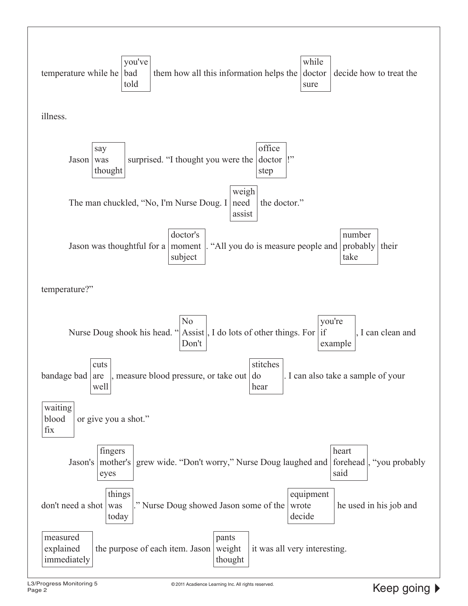![](_page_17_Figure_0.jpeg)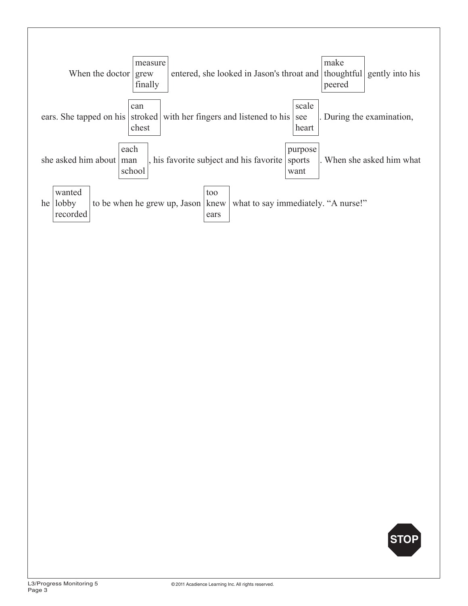![](_page_18_Figure_0.jpeg)

![](_page_18_Picture_1.jpeg)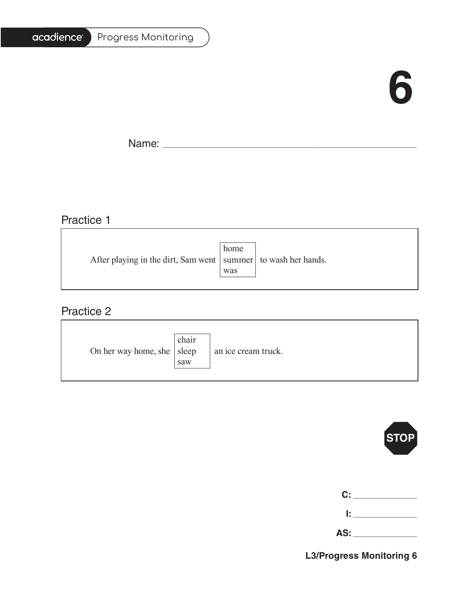# **6**

T.

Name: \_\_\_\_\_\_\_\_\_\_\_\_\_\_\_\_\_\_\_\_\_\_\_\_\_\_\_\_\_\_\_\_\_\_\_\_\_\_\_\_\_\_\_\_\_\_\_\_\_\_\_\_\_\_\_\_\_\_\_\_\_\_\_\_\_\_\_\_\_\_\_\_\_\_\_\_\_\_\_\_\_\_\_\_\_\_\_\_\_\_\_\_\_\_\_\_\_\_\_\_\_\_\_

<u> 1989 - Johann Stein, marwolaethau a bhann an t-Amhainn an t-Amhainn an t-Amhainn an t-Amhainn an t-Amhainn a</u>

### Practice 1

|                                                                   | home |  |
|-------------------------------------------------------------------|------|--|
| After playing in the dirt, Sam went   summer   to wash her hands. |      |  |
|                                                                   | was  |  |
|                                                                   |      |  |

<u> 1989 - Johann Stoff, deutscher Stoffen und der Stoffen und der Stoffen und der Stoffen und der Stoffen und der</u>

#### Practice 2

| On her way home, she $ $ sleep | chair<br>saw | an ice cream truck. |
|--------------------------------|--------------|---------------------|
|--------------------------------|--------------|---------------------|

![](_page_19_Picture_8.jpeg)

| C: ________ |
|-------------|
| lt i v      |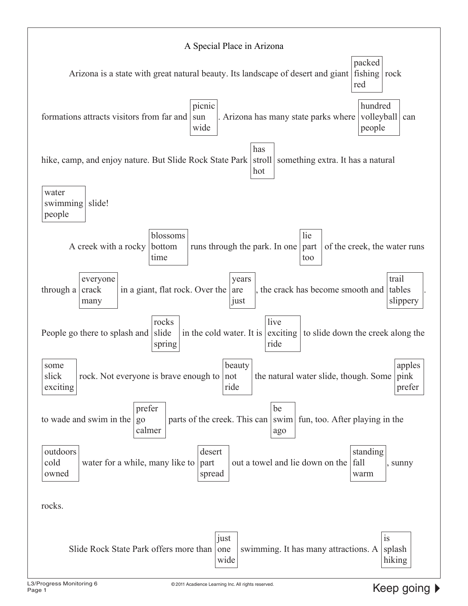![](_page_20_Figure_0.jpeg)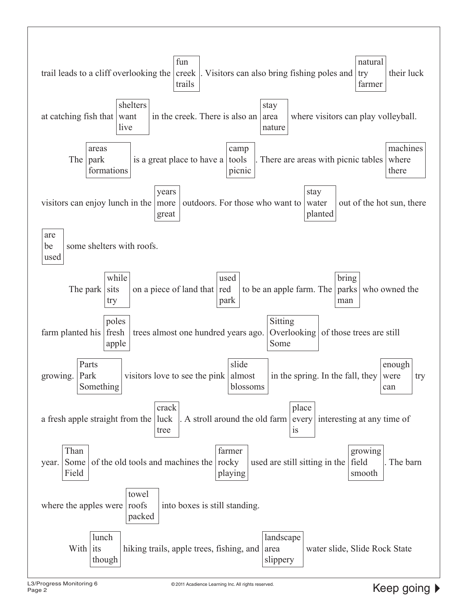![](_page_21_Figure_0.jpeg)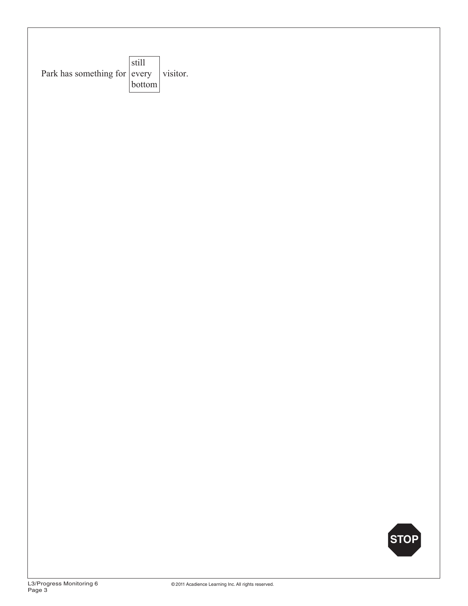![](_page_22_Figure_0.jpeg)

![](_page_22_Picture_1.jpeg)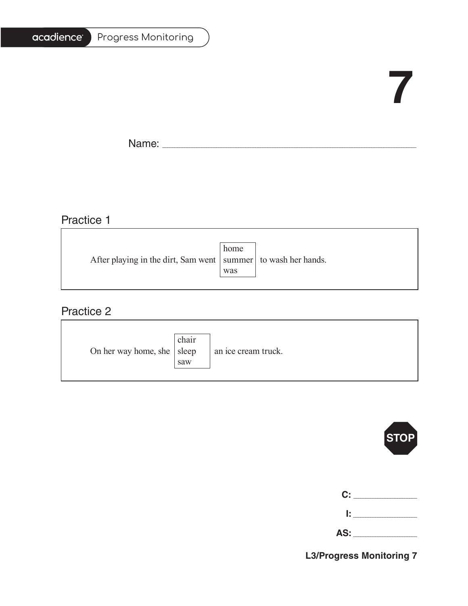#### Progress Monitoring

# **7**

Ē.

Name: \_\_\_\_\_\_\_\_\_\_\_\_\_\_\_\_\_\_\_\_\_\_\_\_\_\_\_\_\_\_\_\_\_\_\_\_\_\_\_\_\_\_\_\_\_\_\_\_\_\_\_\_\_\_\_\_\_\_\_\_\_\_\_\_\_\_\_\_\_\_\_\_\_\_\_\_\_\_\_\_\_\_\_\_\_\_\_\_\_\_\_\_\_\_\_\_\_\_\_\_\_\_\_

#### Practice 1

|                                                                   | home |  |
|-------------------------------------------------------------------|------|--|
| After playing in the dirt, Sam went   summer   to wash her hands. |      |  |
|                                                                   | was  |  |
|                                                                   |      |  |

<u> 1989 - Johann Barbara, martxa alemaniar amerikan basar da a</u>

#### Practice 2

| On her way home, she $ $ sleep | chair<br>saw | an ice cream truck. |
|--------------------------------|--------------|---------------------|
|--------------------------------|--------------|---------------------|

![](_page_23_Picture_8.jpeg)

| C:   | the control of the con- |
|------|-------------------------|
| I: I |                         |

| AS: |  |
|-----|--|
|     |  |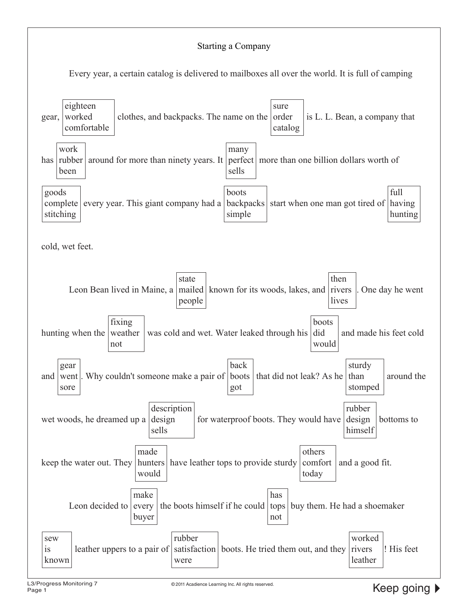#### Starting a Company

Every year, a certain catalog is delivered to mailboxes all over the world. It is full of camping

![](_page_24_Figure_2.jpeg)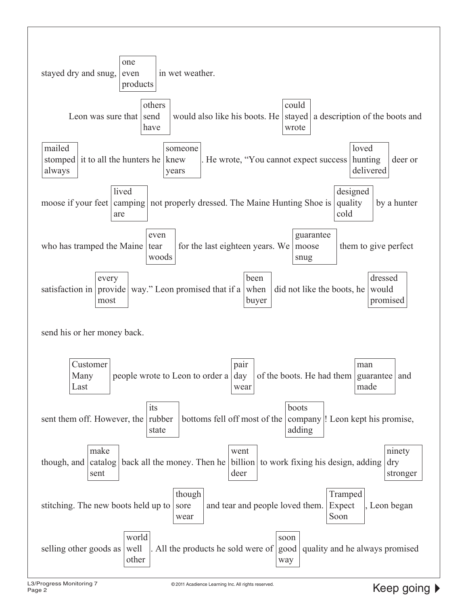![](_page_25_Figure_0.jpeg)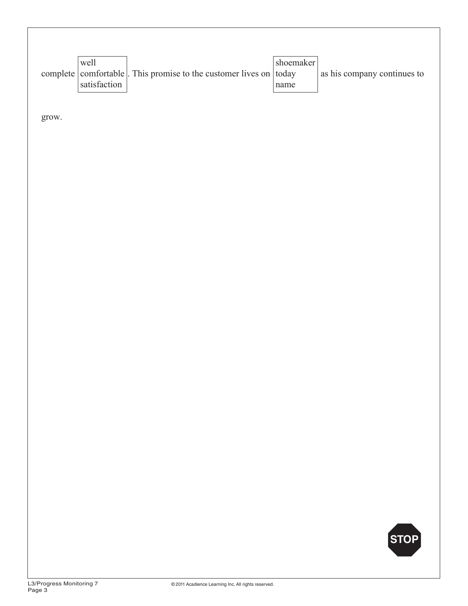| well         |                                                                   | shoemaker |                             |
|--------------|-------------------------------------------------------------------|-----------|-----------------------------|
|              | complete comfortable. This promise to the customer lives on today |           | as his company continues to |
| satisfaction |                                                                   | name      |                             |

grow.

![](_page_26_Picture_2.jpeg)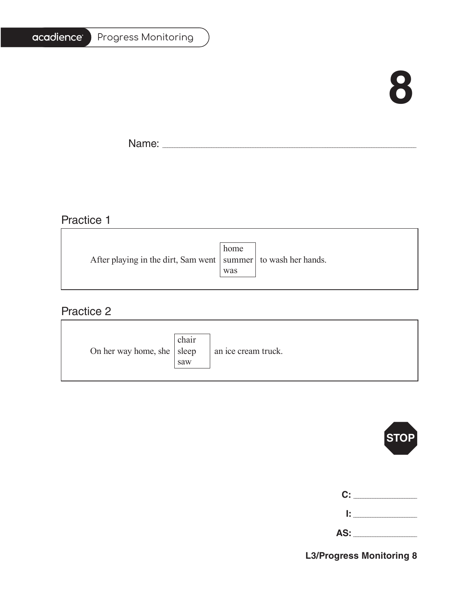# **8**

 $\blacksquare$ 

 $\overline{\phantom{a}}$ 

Name: \_\_\_\_\_\_\_\_\_\_\_\_\_\_\_\_\_\_\_\_\_\_\_\_\_\_\_\_\_\_\_\_\_\_\_\_\_\_\_\_\_\_\_\_\_\_\_\_\_\_\_\_\_\_\_\_\_\_\_\_\_\_\_\_\_\_\_\_\_\_\_\_\_\_\_\_\_\_\_\_\_\_\_\_\_\_\_\_\_\_\_\_\_\_\_\_\_\_\_\_\_\_\_

#### Practice 1

|                                                                   | home |  |
|-------------------------------------------------------------------|------|--|
| After playing in the dirt, Sam went   summer   to wash her hands. |      |  |
|                                                                   | was  |  |
|                                                                   |      |  |

#### Practice 2

| On her way home, she $ $ sleep | chair<br>saw | an ice cream truck. |
|--------------------------------|--------------|---------------------|
|--------------------------------|--------------|---------------------|

![](_page_27_Picture_8.jpeg)

|     | C: ________ |
|-----|-------------|
| Ŀ.  |             |
| AS: |             |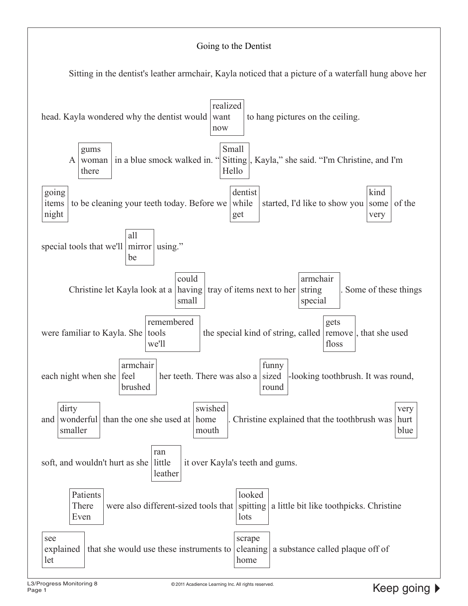#### Going to the Dentist

Sitting in the dentist's leather armchair, Kayla noticed that a picture of a waterfall hung above her

![](_page_28_Figure_2.jpeg)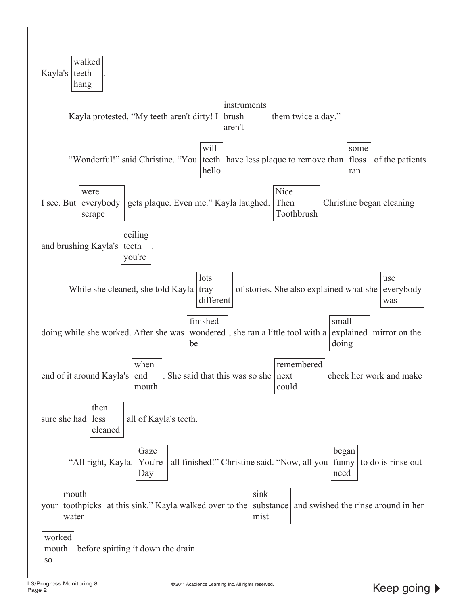![](_page_29_Figure_0.jpeg)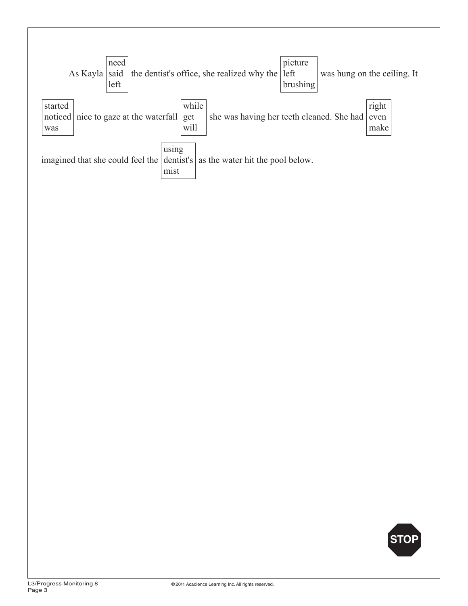![](_page_30_Figure_0.jpeg)

![](_page_30_Picture_1.jpeg)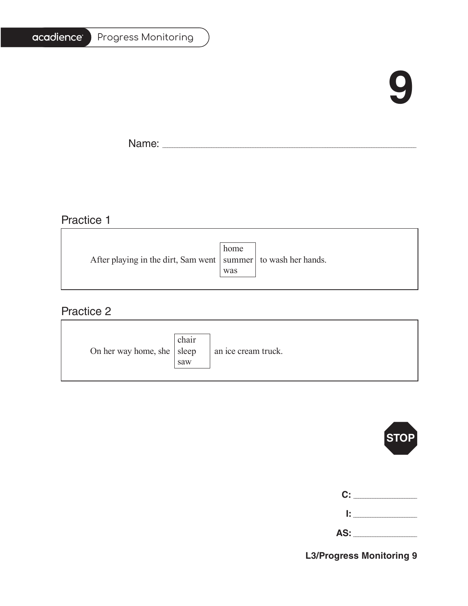# **9**

Ē,

Name: \_\_\_\_\_\_\_\_\_\_\_\_\_\_\_\_\_\_\_\_\_\_\_\_\_\_\_\_\_\_\_\_\_\_\_\_\_\_\_\_\_\_\_\_\_\_\_\_\_\_\_\_\_\_\_\_\_\_\_\_\_\_\_\_\_\_\_\_\_\_\_\_\_\_\_\_\_\_\_\_\_\_\_\_\_\_\_\_\_\_\_\_\_\_\_\_\_\_\_\_\_\_\_

#### Practice 1

|                                                                   | home |  |
|-------------------------------------------------------------------|------|--|
| After playing in the dirt, Sam went   summer   to wash her hands. |      |  |
|                                                                   | was  |  |
|                                                                   |      |  |

<u> 1989 - Johann Stoff, deutscher Stoffen und der Stoffen und der Stoffen und der Stoffen und der Stoffen und der</u>

#### Practice 2

| On her way home, she $ $ sleep | chair<br>saw | an ice cream truck. |
|--------------------------------|--------------|---------------------|
|--------------------------------|--------------|---------------------|

![](_page_31_Picture_8.jpeg)

| C: _______   |
|--------------|
| <b>B</b> and |

| <b></b> |  |
|---------|--|
|         |  |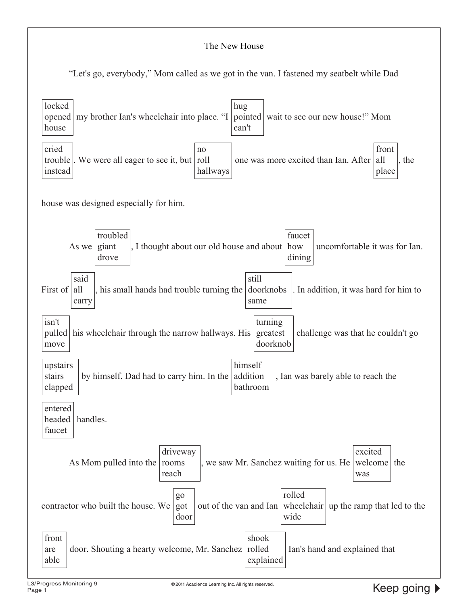#### The New House

"Let's go, everybody," Mom called as we got in the van. I fastened my seatbelt while Dad

![](_page_32_Figure_2.jpeg)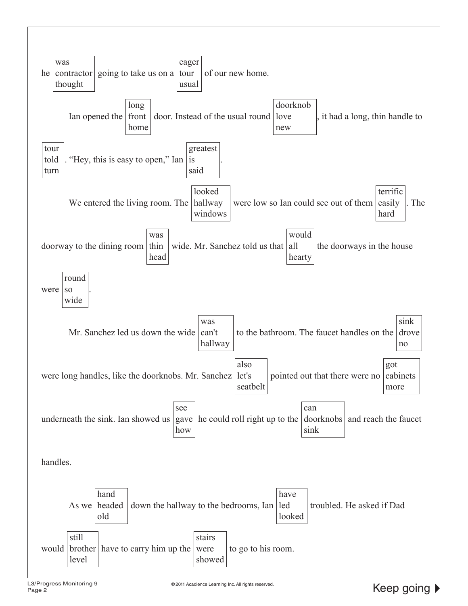![](_page_33_Figure_0.jpeg)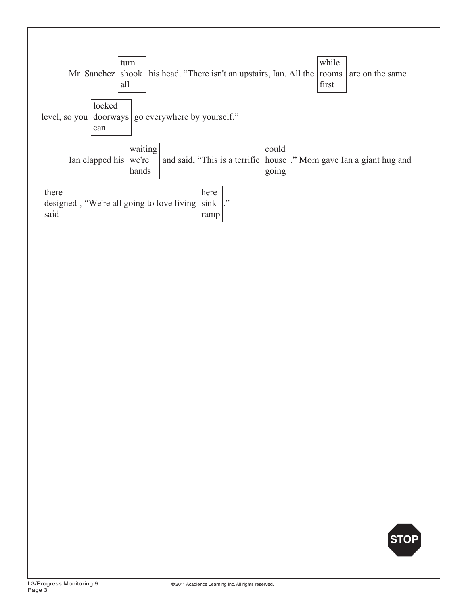![](_page_34_Figure_0.jpeg)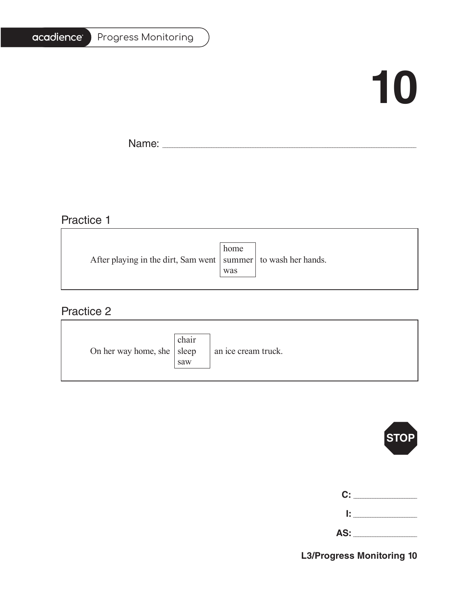#### Progress Monitoring

# **10**

Ē.

Name: \_\_\_\_\_\_\_\_\_\_\_\_\_\_\_\_\_\_\_\_\_\_\_\_\_\_\_\_\_\_\_\_\_\_\_\_\_\_\_\_\_\_\_\_\_\_\_\_\_\_\_\_\_\_\_\_\_\_\_\_\_\_\_\_\_\_\_\_\_\_\_\_\_\_\_\_\_\_\_\_\_\_\_\_\_\_\_\_\_\_\_\_\_\_\_\_\_\_\_\_\_\_\_

#### Practice 1

|                                                                   | home |  |
|-------------------------------------------------------------------|------|--|
| After playing in the dirt, Sam went   summer   to wash her hands. |      |  |
|                                                                   | was  |  |
|                                                                   |      |  |

<u> 1989 - Johann Barbara, martxa alemaniar amerikan basar da a</u>

#### Practice 2

| On her way home, she $ $ sleep | chair<br>saw | an ice cream truck. |
|--------------------------------|--------------|---------------------|
|--------------------------------|--------------|---------------------|

![](_page_35_Picture_8.jpeg)

| C: _ |  |
|------|--|
| Ŀ.   |  |

**AS:** \_\_\_\_\_\_\_\_\_\_\_\_\_\_\_\_\_\_\_\_\_\_\_\_\_\_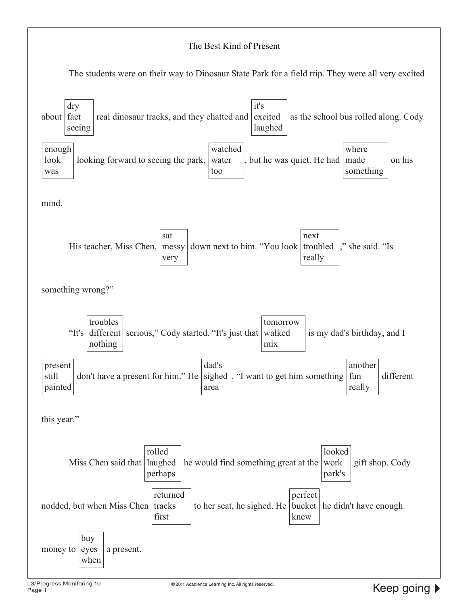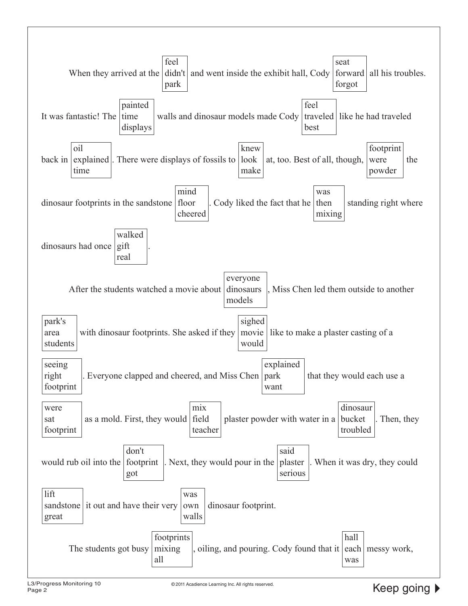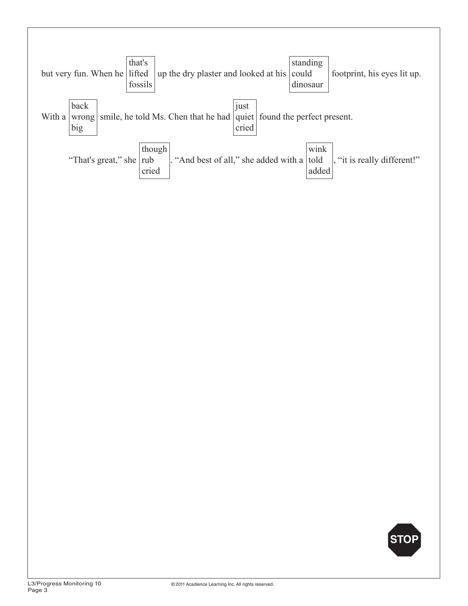

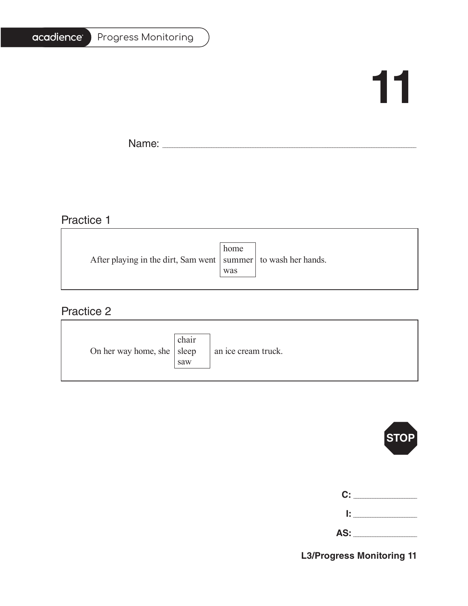#### Progress Monitoring

## **11**

Ē.

Name: \_\_\_\_\_\_\_\_\_\_\_\_\_\_\_\_\_\_\_\_\_\_\_\_\_\_\_\_\_\_\_\_\_\_\_\_\_\_\_\_\_\_\_\_\_\_\_\_\_\_\_\_\_\_\_\_\_\_\_\_\_\_\_\_\_\_\_\_\_\_\_\_\_\_\_\_\_\_\_\_\_\_\_\_\_\_\_\_\_\_\_\_\_\_\_\_\_\_\_\_\_\_\_

## Practice 1

|                                                                   | home |  |
|-------------------------------------------------------------------|------|--|
| After playing in the dirt, Sam went   summer   to wash her hands. |      |  |
|                                                                   | was  |  |
|                                                                   |      |  |

<u> 1989 - Johann Barbara, martxa alemaniar amerikan basar da a</u>

#### Practice 2

| On her way home, she $ $ sleep | chair<br>saw | an ice cream truck. |
|--------------------------------|--------------|---------------------|
|--------------------------------|--------------|---------------------|



| C:  |  |
|-----|--|
| Ŀ.  |  |
| AS: |  |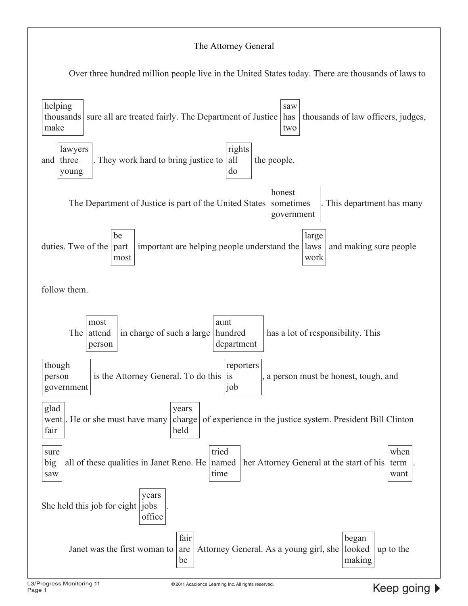#### The Attorney General

Over three hundred million people live in the United States today. There are thousands of laws to

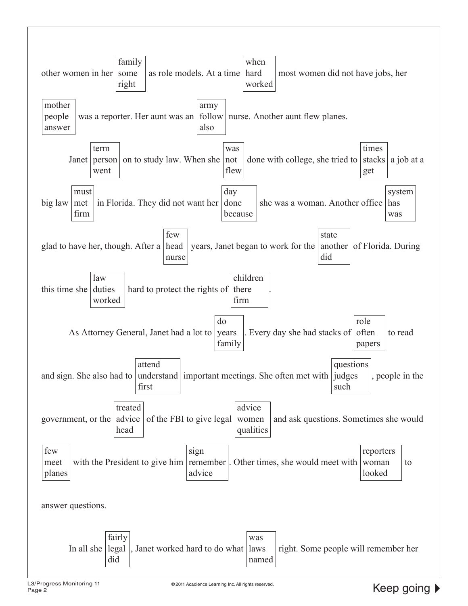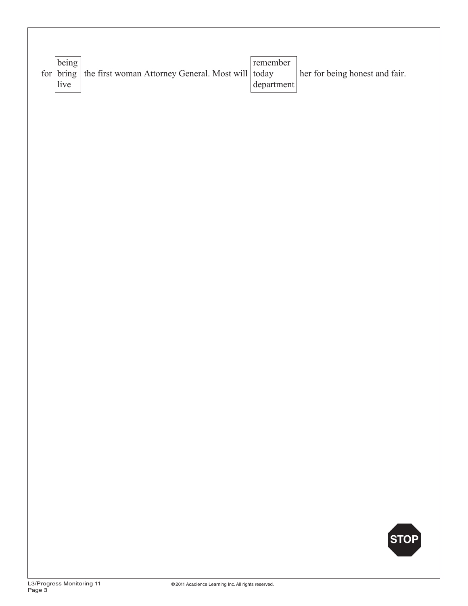| being             |                                                   | remember   |                                |
|-------------------|---------------------------------------------------|------------|--------------------------------|
| for $\vert$ bring | the first woman Attorney General. Most will today |            | her for being honest and fair. |
| live              |                                                   | department |                                |
|                   |                                                   |            |                                |
|                   |                                                   |            |                                |
|                   |                                                   |            |                                |
|                   |                                                   |            |                                |
|                   |                                                   |            |                                |
|                   |                                                   |            |                                |
|                   |                                                   |            |                                |
|                   |                                                   |            |                                |
|                   |                                                   |            |                                |
|                   |                                                   |            |                                |
|                   |                                                   |            |                                |
|                   |                                                   |            |                                |
|                   |                                                   |            |                                |
|                   |                                                   |            |                                |
|                   |                                                   |            |                                |
|                   |                                                   |            |                                |
|                   |                                                   |            |                                |
|                   |                                                   |            |                                |
|                   |                                                   |            |                                |
|                   |                                                   |            |                                |
|                   |                                                   |            |                                |
|                   |                                                   |            |                                |
|                   |                                                   |            |                                |
|                   |                                                   |            |                                |

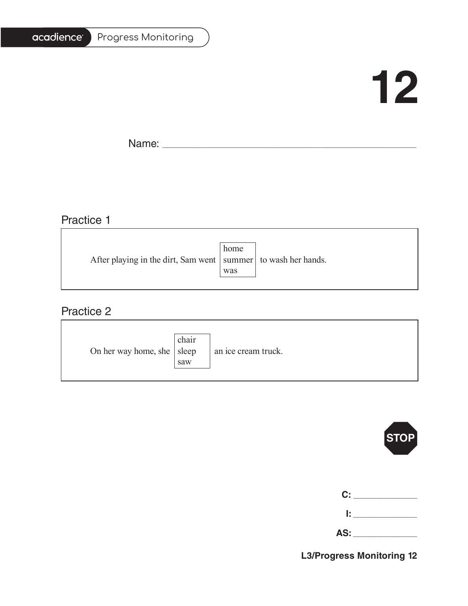#### Progress Monitoring

## **12**

T.

Name: \_\_\_\_\_\_\_\_\_\_\_\_\_\_\_\_\_\_\_\_\_\_\_\_\_\_\_\_\_\_\_\_\_\_\_\_\_\_\_\_\_\_\_\_\_\_\_\_\_\_\_\_\_\_\_\_\_\_\_\_\_\_\_\_\_\_\_\_\_\_\_\_\_\_\_\_\_\_\_\_\_\_\_\_\_\_\_\_\_\_\_\_\_\_\_\_\_\_\_\_\_\_\_

## Practice 1

|                                                                   | home |  |
|-------------------------------------------------------------------|------|--|
| After playing in the dirt, Sam went   summer   to wash her hands. |      |  |
|                                                                   | was  |  |
|                                                                   |      |  |

<u> 1989 - Johann Barbara, martxa alemaniar amerikan basar da a</u>

#### Practice 2

| On her way home, she $ $ sleep | chair<br>saw | an ice cream truck. |
|--------------------------------|--------------|---------------------|
|--------------------------------|--------------|---------------------|



| C:  |  |
|-----|--|
| Ŀ   |  |
| AS: |  |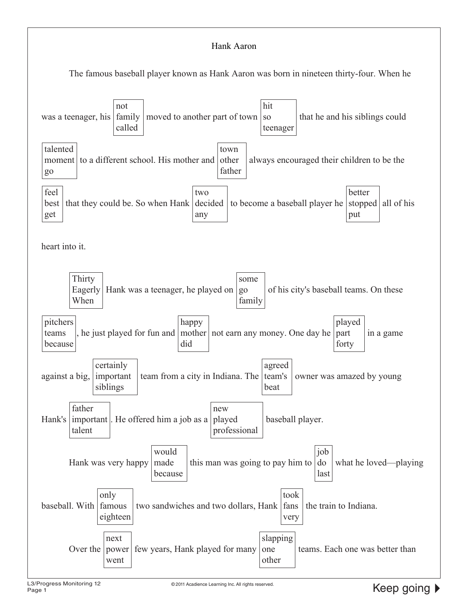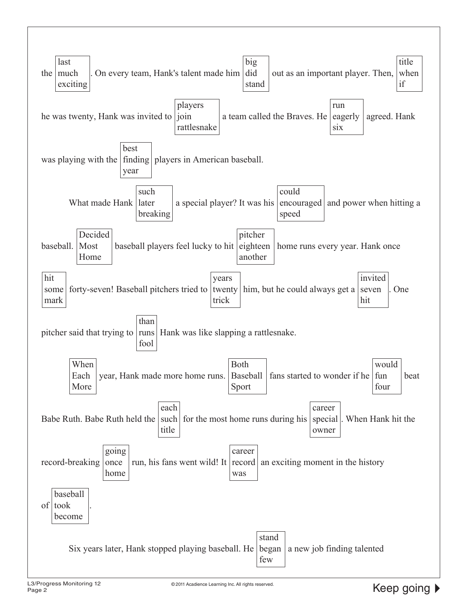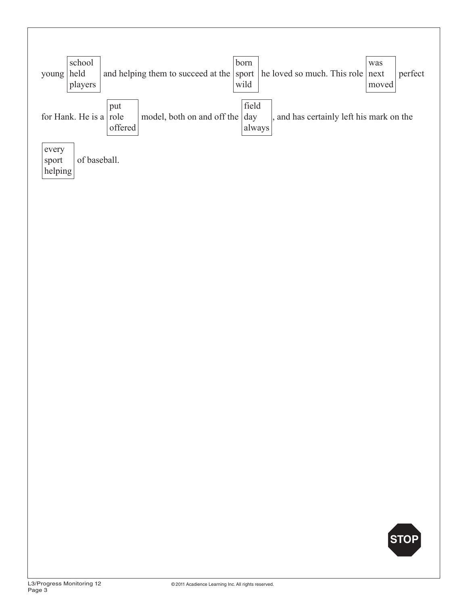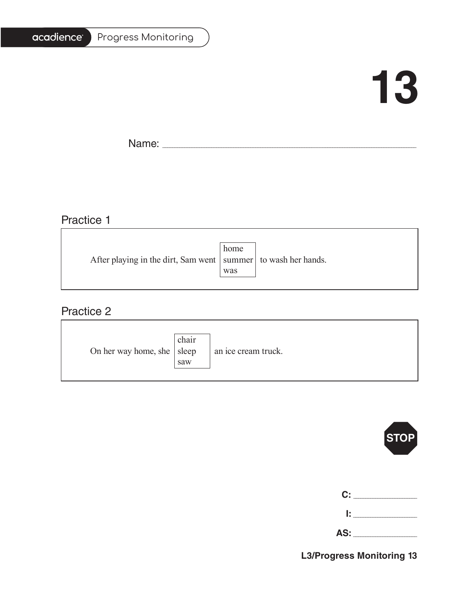#### Progress Monitoring

## **13**

T.

Name: \_\_\_\_\_\_\_\_\_\_\_\_\_\_\_\_\_\_\_\_\_\_\_\_\_\_\_\_\_\_\_\_\_\_\_\_\_\_\_\_\_\_\_\_\_\_\_\_\_\_\_\_\_\_\_\_\_\_\_\_\_\_\_\_\_\_\_\_\_\_\_\_\_\_\_\_\_\_\_\_\_\_\_\_\_\_\_\_\_\_\_\_\_\_\_\_\_\_\_\_\_\_\_

## Practice 1

|                                                                   | home |  |
|-------------------------------------------------------------------|------|--|
| After playing in the dirt, Sam went   summer   to wash her hands. |      |  |
|                                                                   | was  |  |
|                                                                   |      |  |

<u> 1989 - Johann Stoff, deutscher Stoffen und der Stoffen und der Stoffen und der Stoffen und der Stoffen und der</u>

#### Practice 2

| On her way home, she $ $ sleep | chair<br>saw | an ice cream truck. |
|--------------------------------|--------------|---------------------|
|--------------------------------|--------------|---------------------|



| C:  |  |
|-----|--|
| Ŀ.  |  |
| AS: |  |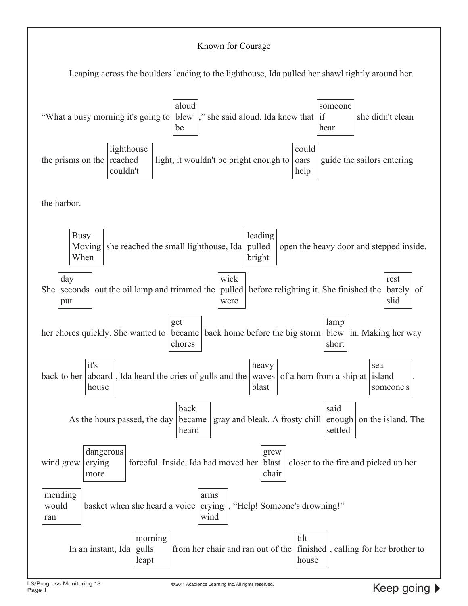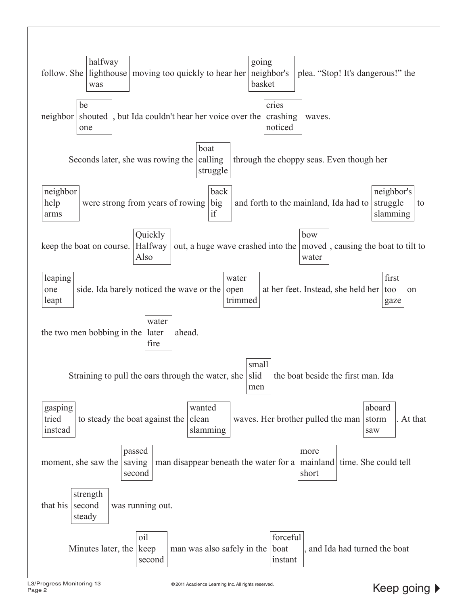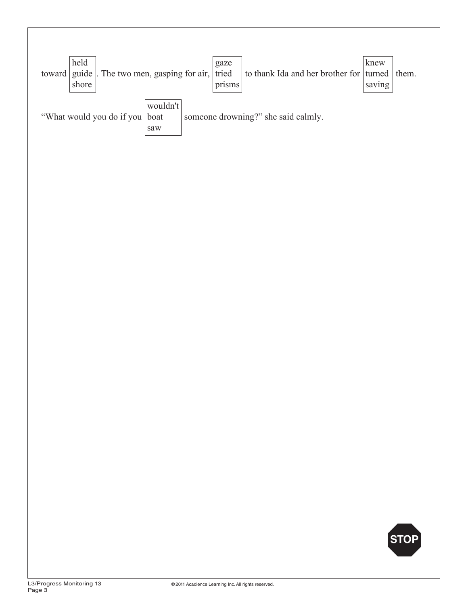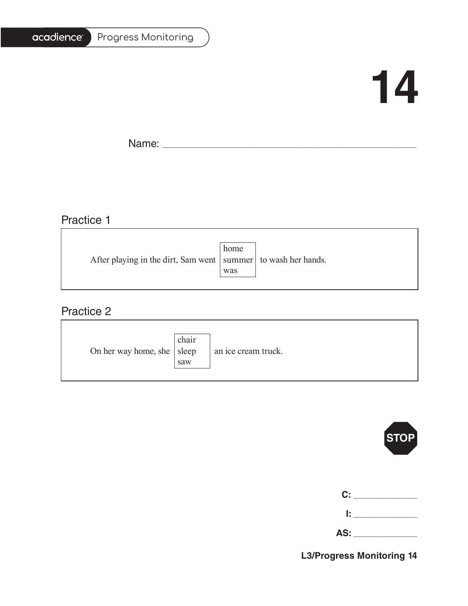#### Progress Monitoring

## **14**

T.

Name: \_\_\_\_\_\_\_\_\_\_\_\_\_\_\_\_\_\_\_\_\_\_\_\_\_\_\_\_\_\_\_\_\_\_\_\_\_\_\_\_\_\_\_\_\_\_\_\_\_\_\_\_\_\_\_\_\_\_\_\_\_\_\_\_\_\_\_\_\_\_\_\_\_\_\_\_\_\_\_\_\_\_\_\_\_\_\_\_\_\_\_\_\_\_\_\_\_\_\_\_\_\_\_

### Practice 1

| After playing in the dirt, Sam went   summer   to wash her hands. |
|-------------------------------------------------------------------|
|                                                                   |
|                                                                   |

<u> 1989 - Johann Barbara, martxa alemaniar amerikan basar da a</u>

#### Practice 2

| On her way home, she $ $ sleep | chair<br>saw | an ice cream truck. |
|--------------------------------|--------------|---------------------|
|--------------------------------|--------------|---------------------|



| C:  |  |
|-----|--|
| Ŀ.  |  |
| AS: |  |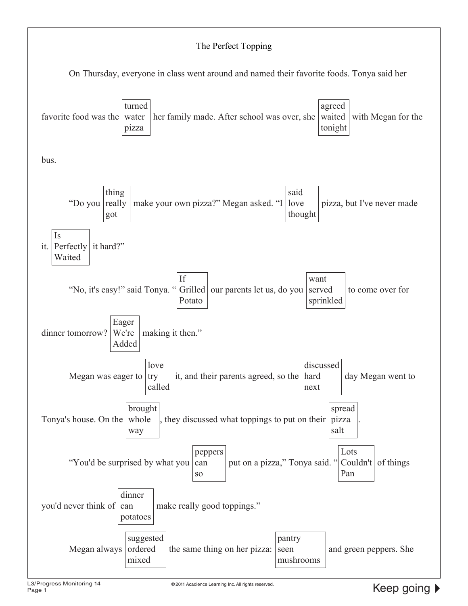#### The Perfect Topping

On Thursday, everyone in class went around and named their favorite foods. Tonya said her

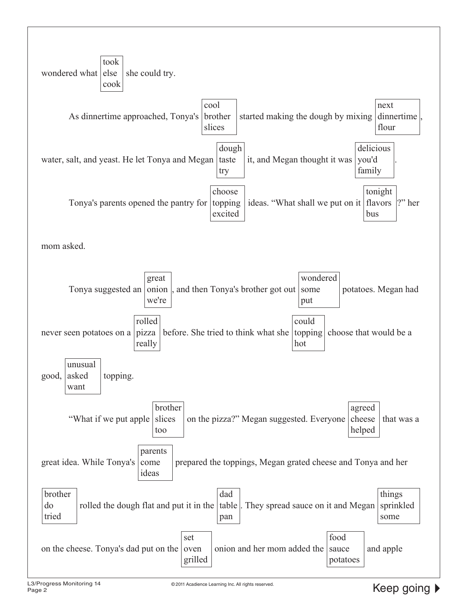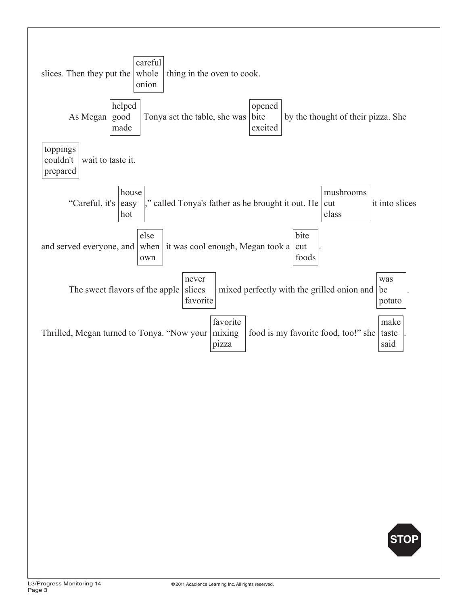

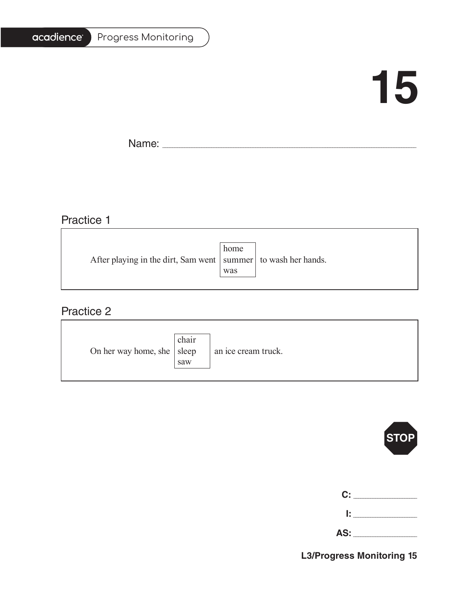#### Progress Monitoring

# **15**

T.

Name: \_\_\_\_\_\_\_\_\_\_\_\_\_\_\_\_\_\_\_\_\_\_\_\_\_\_\_\_\_\_\_\_\_\_\_\_\_\_\_\_\_\_\_\_\_\_\_\_\_\_\_\_\_\_\_\_\_\_\_\_\_\_\_\_\_\_\_\_\_\_\_\_\_\_\_\_\_\_\_\_\_\_\_\_\_\_\_\_\_\_\_\_\_\_\_\_\_\_\_\_\_\_\_

## Practice 1

|                                                                   | home |  |
|-------------------------------------------------------------------|------|--|
| After playing in the dirt, Sam went   summer   to wash her hands. |      |  |
|                                                                   | was  |  |
|                                                                   |      |  |

<u> 1989 - Johann Stoff, deutscher Stoffen und der Stoffen und der Stoffen und der Stoffen und der Stoffen und der</u>

#### Practice 2

| On her way home, she $ $ sleep | chair<br>saw | an ice cream truck. |
|--------------------------------|--------------|---------------------|
|--------------------------------|--------------|---------------------|



| C:  |  |
|-----|--|
| Ŀ.  |  |
| AS: |  |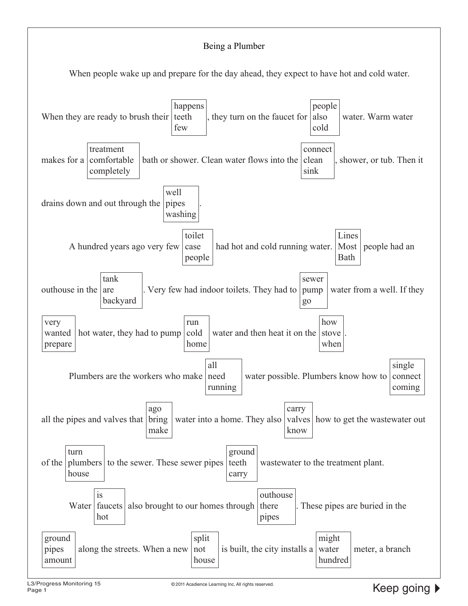#### Being a Plumber

When people wake up and prepare for the day ahead, they expect to have hot and cold water.

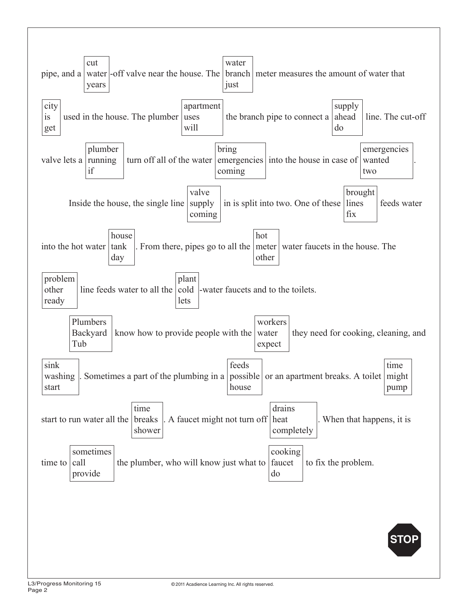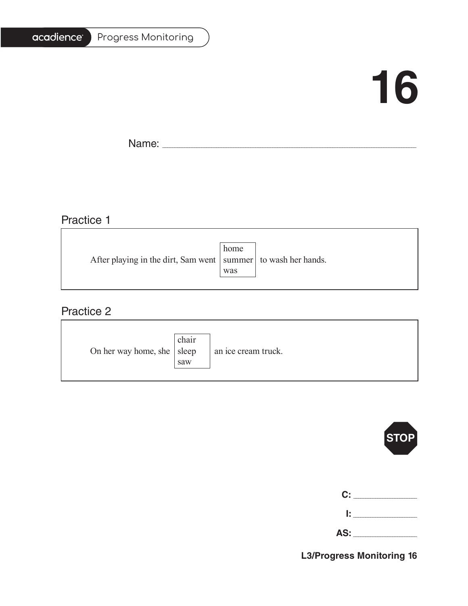#### Progress Monitoring

# **16**

T.

Name: \_\_\_\_\_\_\_\_\_\_\_\_\_\_\_\_\_\_\_\_\_\_\_\_\_\_\_\_\_\_\_\_\_\_\_\_\_\_\_\_\_\_\_\_\_\_\_\_\_\_\_\_\_\_\_\_\_\_\_\_\_\_\_\_\_\_\_\_\_\_\_\_\_\_\_\_\_\_\_\_\_\_\_\_\_\_\_\_\_\_\_\_\_\_\_\_\_\_\_\_\_\_\_

## Practice 1

|                                                                   | home |  |
|-------------------------------------------------------------------|------|--|
| After playing in the dirt, Sam went   summer   to wash her hands. |      |  |
|                                                                   | was  |  |
|                                                                   |      |  |

<u> 1989 - Johann Barbara, martxa alemaniar amerikan basar da a</u>

#### Practice 2

| On her way home, she $ $ sleep | chair<br>saw | an ice cream truck. |
|--------------------------------|--------------|---------------------|
|--------------------------------|--------------|---------------------|



| C:  |  |
|-----|--|
| Ŀ   |  |
| AS: |  |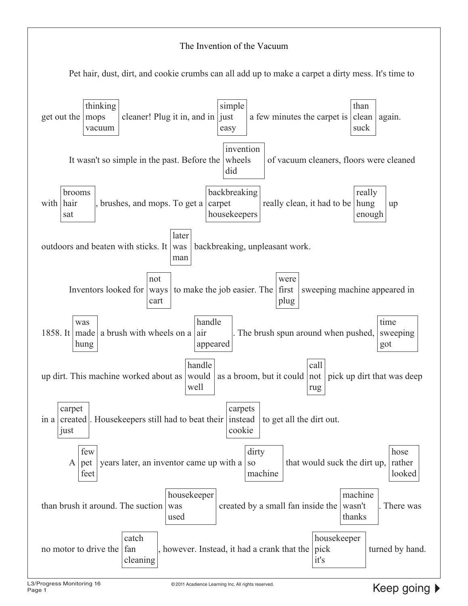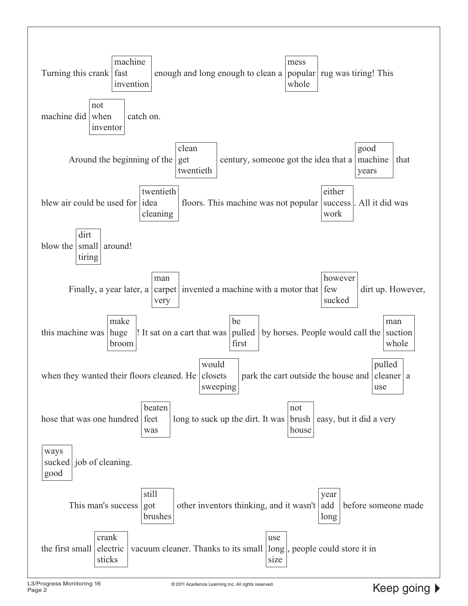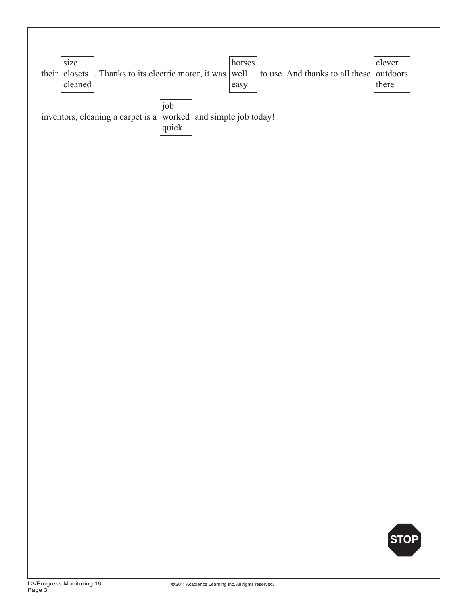

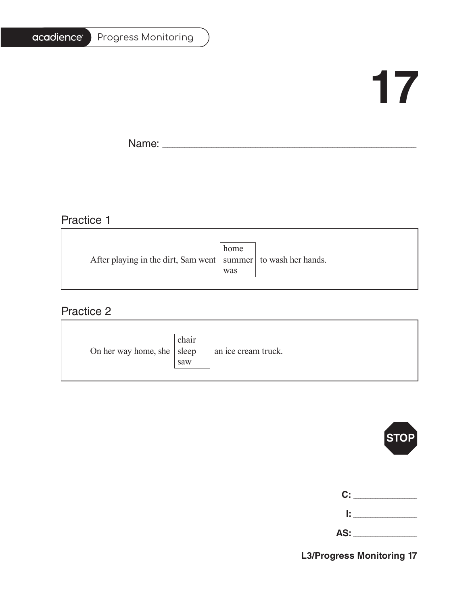#### Progress Monitoring

# **17**

T.

Name: \_\_\_\_\_\_\_\_\_\_\_\_\_\_\_\_\_\_\_\_\_\_\_\_\_\_\_\_\_\_\_\_\_\_\_\_\_\_\_\_\_\_\_\_\_\_\_\_\_\_\_\_\_\_\_\_\_\_\_\_\_\_\_\_\_\_\_\_\_\_\_\_\_\_\_\_\_\_\_\_\_\_\_\_\_\_\_\_\_\_\_\_\_\_\_\_\_\_\_\_\_\_\_

### Practice 1

| After playing in the dirt, Sam went   summer   to wash her hands. |
|-------------------------------------------------------------------|
|                                                                   |
|                                                                   |

<u> 1989 - Johann Stoff, deutscher Stoffen und der Stoffen und der Stoffen und der Stoffen und der Stoffen und der</u>

#### Practice 2

| On her way home, she $ $ sleep | chair<br>saw | an ice cream truck. |
|--------------------------------|--------------|---------------------|
|--------------------------------|--------------|---------------------|



| C:  |  |
|-----|--|
| Ŀ   |  |
| AS: |  |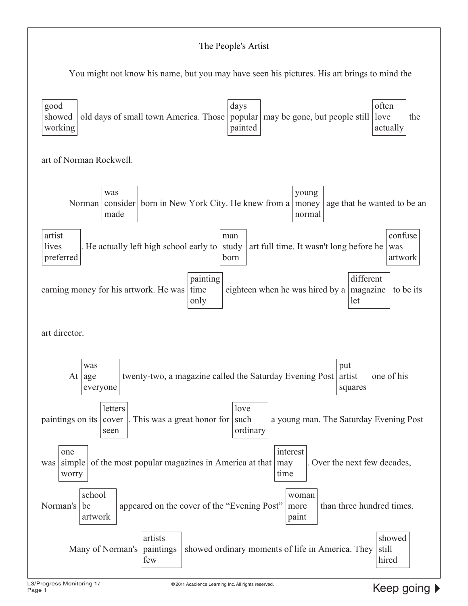#### The People's Artist

You might not know his name, but you may have seen his pictures. His art brings to mind the

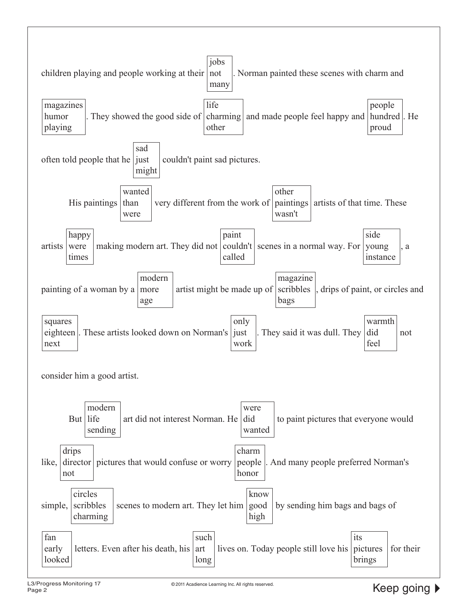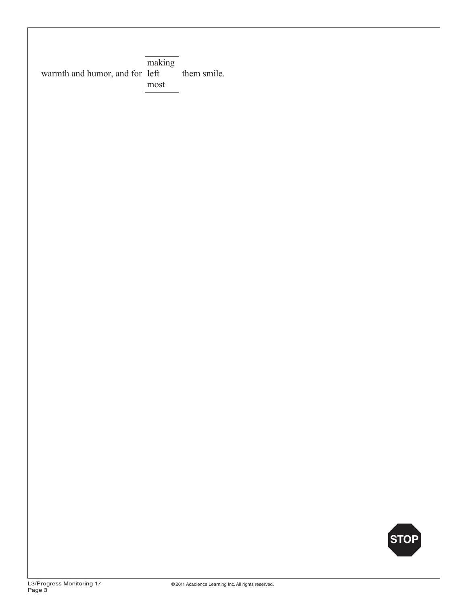| warmth and humor, and for left<br>them smile.<br>most |      |
|-------------------------------------------------------|------|
|                                                       |      |
|                                                       |      |
|                                                       |      |
|                                                       |      |
|                                                       |      |
|                                                       | STOP |

h.

 $\overline{1}$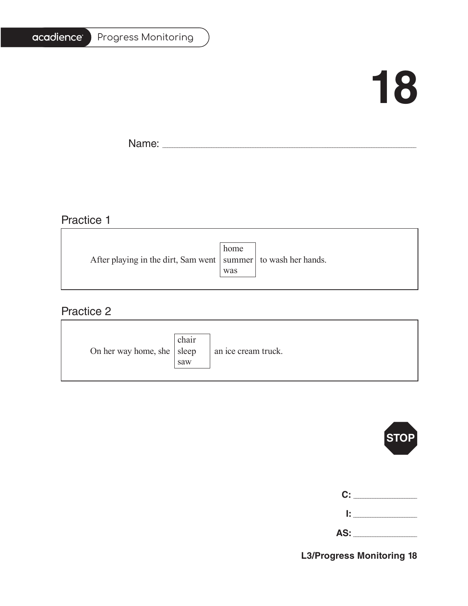#### Progress Monitoring

## **18**

T.

Name: \_\_\_\_\_\_\_\_\_\_\_\_\_\_\_\_\_\_\_\_\_\_\_\_\_\_\_\_\_\_\_\_\_\_\_\_\_\_\_\_\_\_\_\_\_\_\_\_\_\_\_\_\_\_\_\_\_\_\_\_\_\_\_\_\_\_\_\_\_\_\_\_\_\_\_\_\_\_\_\_\_\_\_\_\_\_\_\_\_\_\_\_\_\_\_\_\_\_\_\_\_\_\_

## Practice 1

|                                                                   | home |  |
|-------------------------------------------------------------------|------|--|
| After playing in the dirt, Sam went   summer   to wash her hands. |      |  |
|                                                                   | was  |  |
|                                                                   |      |  |

<u> 1989 - Johann Barbara, martxa alemaniar amerikan basar da a</u>

#### Practice 2

| On her way home, she $ $ sleep | chair<br>saw | an ice cream truck. |
|--------------------------------|--------------|---------------------|
|--------------------------------|--------------|---------------------|



| <b>C:</b> 2000 |
|----------------|
| lt in          |

**AS:** \_\_\_\_\_\_\_\_\_\_\_\_\_\_\_\_\_\_\_\_\_\_\_\_\_\_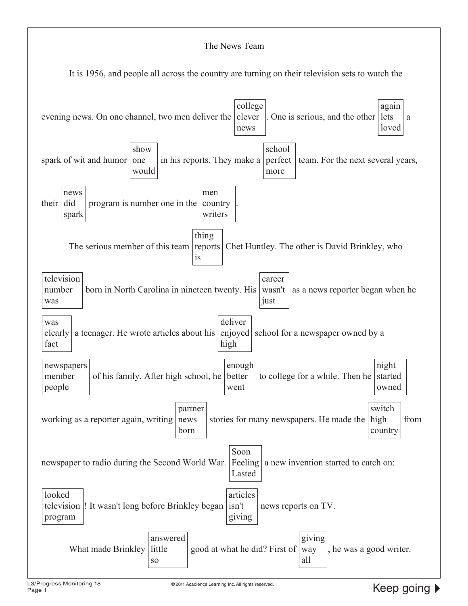#### The News Team

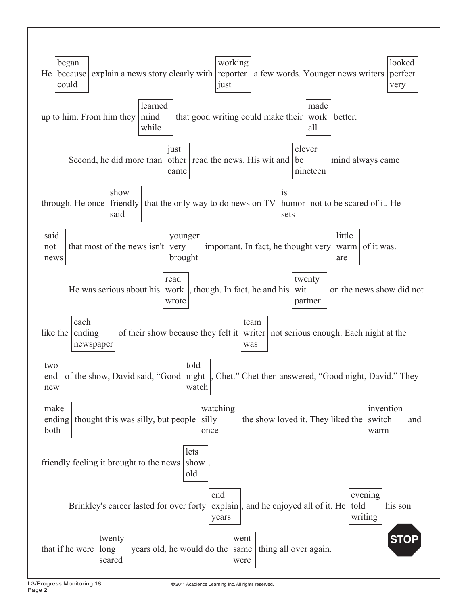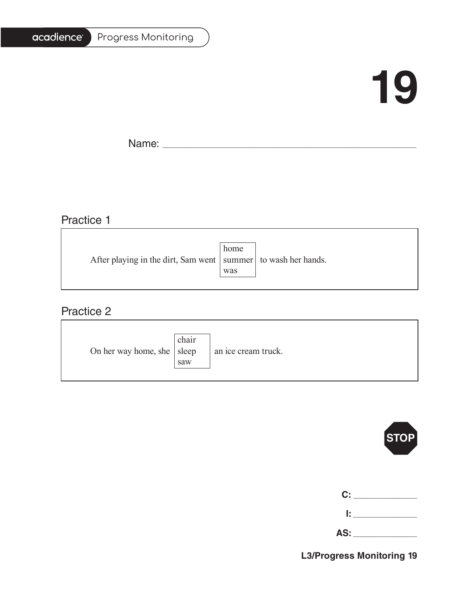#### Progress Monitoring

## **19**

٦

Name: \_\_\_\_\_\_\_\_\_\_\_\_\_\_\_\_\_\_\_\_\_\_\_\_\_\_\_\_\_\_\_\_\_\_\_\_\_\_\_\_\_\_\_\_\_\_\_\_\_\_\_\_\_\_\_\_\_\_\_\_\_\_\_\_\_\_\_\_\_\_\_\_\_\_\_\_\_\_\_\_\_\_\_\_\_\_\_\_\_\_\_\_\_\_\_\_\_\_\_\_\_\_\_

## Practice 1

|                                                                   | home |  |
|-------------------------------------------------------------------|------|--|
| After playing in the dirt, Sam went   summer   to wash her hands. |      |  |
|                                                                   | was  |  |
|                                                                   |      |  |

<u> 1989 - Johann Stoff, deutscher Stoffen und der Stoffen und der Stoffen und der Stoffen und der Stoffen und der</u>

#### Practice 2

| On her way home, she $ $ sleep | chair<br>saw | an ice cream truck. |
|--------------------------------|--------------|---------------------|
|--------------------------------|--------------|---------------------|



| <b>C:</b> 7 |  |
|-------------|--|
| Ŀ.          |  |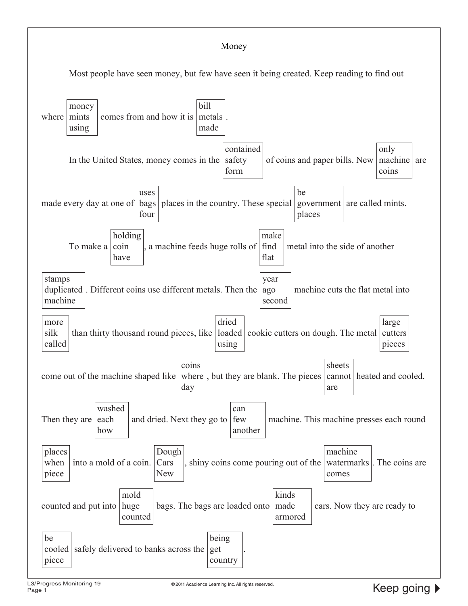#### Money

Most people have seen money, but few have seen it being created. Keep reading to find out

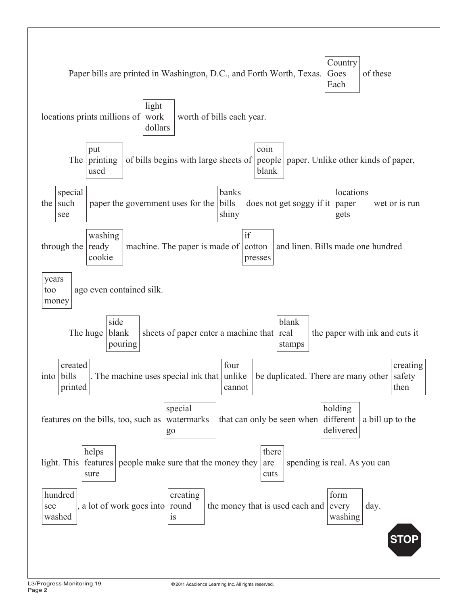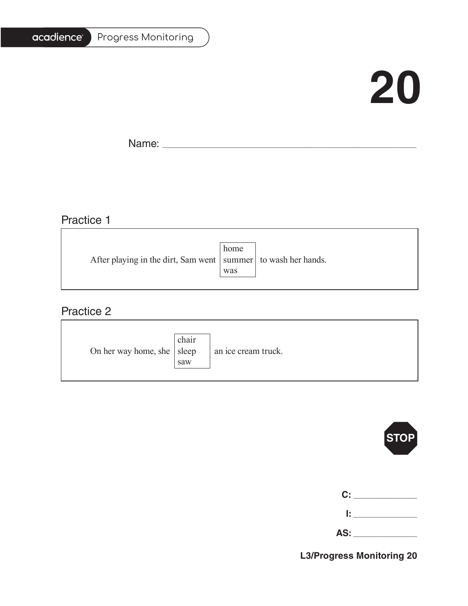# acadience®

#### Progress Monitoring

# **20**

Ē.

Name: \_\_\_\_\_\_\_\_\_\_\_\_\_\_\_\_\_\_\_\_\_\_\_\_\_\_\_\_\_\_\_\_\_\_\_\_\_\_\_\_\_\_\_\_\_\_\_\_\_\_\_\_\_\_\_\_\_\_\_\_\_\_\_\_\_\_\_\_\_\_\_\_\_\_\_\_\_\_\_\_\_\_\_\_\_\_\_\_\_\_\_\_\_\_\_\_\_\_\_\_\_\_\_

## Practice 1

|                                                                   | home |  |
|-------------------------------------------------------------------|------|--|
| After playing in the dirt, Sam went   summer   to wash her hands. |      |  |
|                                                                   | was  |  |
|                                                                   |      |  |

<u> 1989 - Johann Barbara, martxa alemaniar amerikan basar da a</u>

### Practice 2

| On her way home, she $ $ sleep | chair<br>saw | an ice cream truck. |
|--------------------------------|--------------|---------------------|
|--------------------------------|--------------|---------------------|



|                | C: _________ |
|----------------|--------------|
| $\mathbb{R}^n$ |              |

**AS:** \_\_\_\_\_\_\_\_\_\_\_\_\_\_\_\_\_\_\_\_\_\_\_\_\_\_

**L3/Progress Monitoring 20**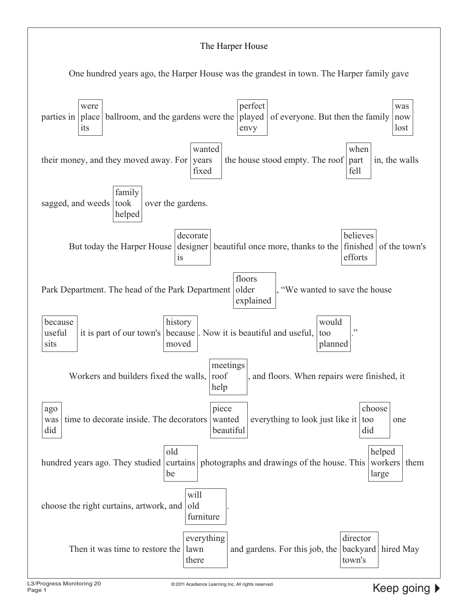#### The Harper House One hundred years ago, the Harper House was the grandest in town. The Harper family gave parties in were place its ballroom, and the gardens were the played perfect envy of everyone. But then the family was now lost their money, and they moved away. For years wanted fixed the house stood empty. The roof part when fell in, the walls sagged, and weeds took family helped over the gardens. But today the Harper House | designer | beautiful once more, thanks to the | finished decorate is believes efforts of the town's Park Department. The head of the Park Department floors older explained "We wanted to save the house because useful sits it is part of our town's history because moved . Now it is beautiful and useful, would too planned ." Workers and builders fixed the walls, meetings roof help and floors. When repairs were finished, it ago was did time to decorate inside. The decorators piece wanted beautiful everything to look just like it  $\vert$  too choose did one hundred years ago. They studied old curtains be photographs and drawings of the house. This workers them helped large choose the right curtains, artwork, and will old furniture . Then it was time to restore the lawn everything there and gardens. For this job, the backyard hired Maydirector town's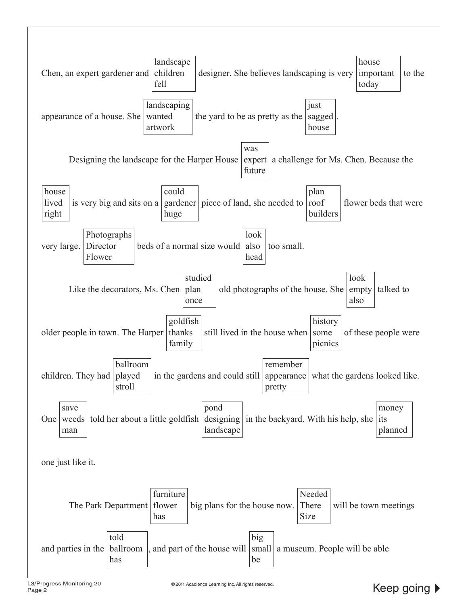